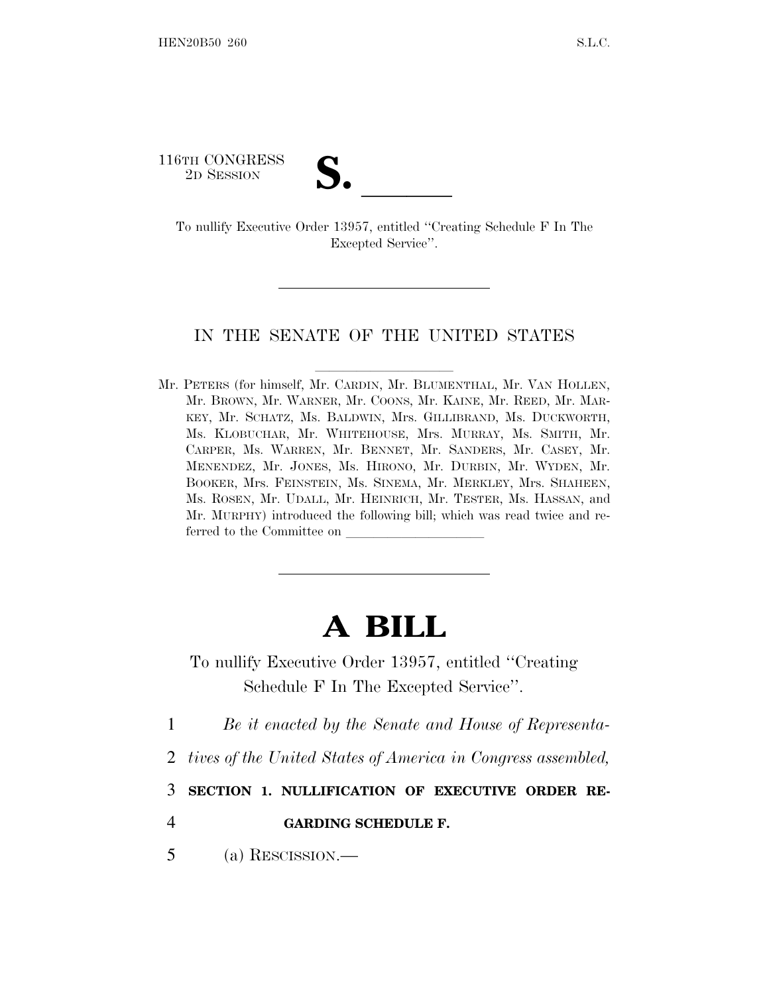116TH CONGRESS

FORTH CONGRESS<br>
2D SESSION<br>
To nullify Executive Order 13957, entitled "Creating Schedule F In The Excepted Service''.

## IN THE SENATE OF THE UNITED STATES

Mr. PETERS (for himself, Mr. CARDIN, Mr. BLUMENTHAL, Mr. VAN HOLLEN, Mr. BROWN, Mr. WARNER, Mr. COONS, Mr. KAINE, Mr. REED, Mr. MAR-KEY, Mr. SCHATZ, Ms. BALDWIN, Mrs. GILLIBRAND, Ms. DUCKWORTH, Ms. KLOBUCHAR, Mr. WHITEHOUSE, Mrs. MURRAY, Ms. SMITH, Mr. CARPER, Ms. WARREN, Mr. BENNET, Mr. SANDERS, Mr. CASEY, Mr. MENENDEZ, Mr. JONES, Ms. HIRONO, Mr. DURBIN, Mr. WYDEN, Mr. BOOKER, Mrs. FEINSTEIN, Ms. SINEMA, Mr. MERKLEY, Mrs. SHAHEEN, Ms. ROSEN, Mr. UDALL, Mr. HEINRICH, Mr. TESTER, Ms. HASSAN, and Mr. MURPHY) introduced the following bill; which was read twice and referred to the Committee on

## **A BILL**

To nullify Executive Order 13957, entitled ''Creating Schedule F In The Excepted Service''.

1 *Be it enacted by the Senate and House of Representa-*

2 *tives of the United States of America in Congress assembled,*

3 **SECTION 1. NULLIFICATION OF EXECUTIVE ORDER RE-**

4 **GARDING SCHEDULE F.**

5 (a) RESCISSION.—